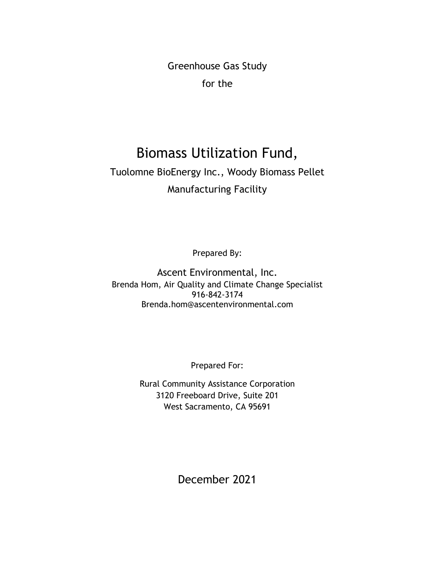Greenhouse Gas Study for the

# Biomass Utilization Fund,

## Tuolomne BioEnergy Inc., Woody Biomass Pellet Manufacturing Facility

Prepared By:

Ascent Environmental, Inc. Brenda Hom, Air Quality and Climate Change Specialist 916-842-3174 Brenda.hom@ascentenvironmental.com

Prepared For:

Rural Community Assistance Corporation 3120 Freeboard Drive, Suite 201 West Sacramento, CA 95691

December 2021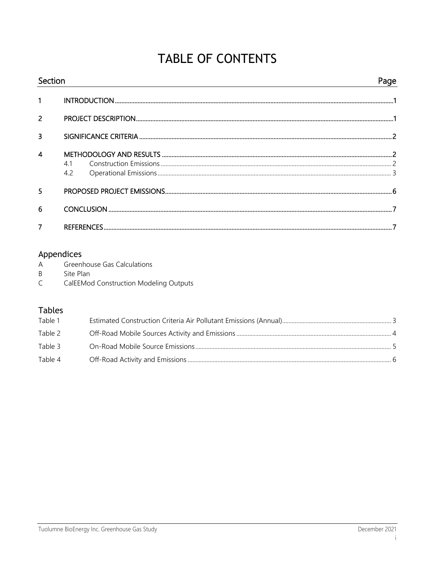# TABLE OF CONTENTS

| Section                 | Page      |  |  |  |
|-------------------------|-----------|--|--|--|
| $\mathbf{1}$            |           |  |  |  |
| $\overline{2}$          |           |  |  |  |
| 3                       |           |  |  |  |
| $\overline{\mathbf{4}}$ | 41<br>4.2 |  |  |  |
| 5                       |           |  |  |  |
| 6                       |           |  |  |  |
| $\overline{7}$          |           |  |  |  |

#### Appendices

| A | Greenhouse Gas Calculations |
|---|-----------------------------|
|   |                             |

Site Plan  $\sf B$ 

CalEEMod Construction Modeling Outputs  $\mathsf{C}$ 

#### **Tables**

| Table 1 |  |
|---------|--|
| Table 2 |  |
| Table 3 |  |
| Table 4 |  |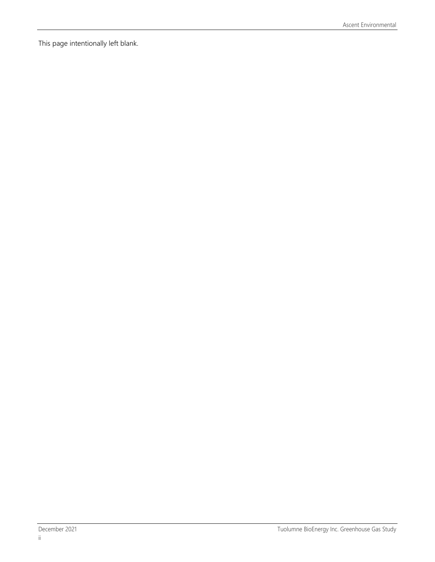This page intentionally left blank.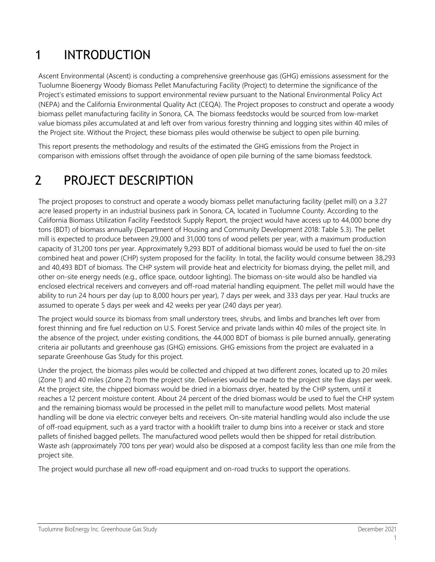# 1 INTRODUCTION

Ascent Environmental (Ascent) is conducting a comprehensive greenhouse gas (GHG) emissions assessment for the Tuolumne Bioenergy Woody Biomass Pellet Manufacturing Facility (Project) to determine the significance of the Project's estimated emissions to support environmental review pursuant to the National Environmental Policy Act (NEPA) and the California Environmental Quality Act (CEQA). The Project proposes to construct and operate a woody biomass pellet manufacturing facility in Sonora, CA. The biomass feedstocks would be sourced from low-market value biomass piles accumulated at and left over from various forestry thinning and logging sites within 40 miles of the Project site. Without the Project, these biomass piles would otherwise be subject to open pile burning.

This report presents the methodology and results of the estimated the GHG emissions from the Project in comparison with emissions offset through the avoidance of open pile burning of the same biomass feedstock.

# 2 PROJECT DESCRIPTION

The project proposes to construct and operate a woody biomass pellet manufacturing facility (pellet mill) on a 3.27 acre leased property in an industrial business park in Sonora, CA, located in Tuolumne County. According to the California Biomass Utilization Facility Feedstock Supply Report, the project would have access up to 44,000 bone dry tons (BDT) of biomass annually (Department of Housing and Community Development 2018: Table 5.3). The pellet mill is expected to produce between 29,000 and 31,000 tons of wood pellets per year, with a maximum production capacity of 31,200 tons per year. Approximately 9,293 BDT of additional biomass would be used to fuel the on-site combined heat and power (CHP) system proposed for the facility. In total, the facility would consume between 38,293 and 40,493 BDT of biomass. The CHP system will provide heat and electricity for biomass drying, the pellet mill, and other on-site energy needs (e.g., office space, outdoor lighting). The biomass on-site would also be handled via enclosed electrical receivers and conveyers and off-road material handling equipment. The pellet mill would have the ability to run 24 hours per day (up to 8,000 hours per year), 7 days per week, and 333 days per year. Haul trucks are assumed to operate 5 days per week and 42 weeks per year (240 days per year).

The project would source its biomass from small understory trees, shrubs, and limbs and branches left over from forest thinning and fire fuel reduction on U.S. Forest Service and private lands within 40 miles of the project site. In the absence of the project, under existing conditions, the 44,000 BDT of biomass is pile burned annually, generating criteria air pollutants and greenhouse gas (GHG) emissions. GHG emissions from the project are evaluated in a separate Greenhouse Gas Study for this project.

Under the project, the biomass piles would be collected and chipped at two different zones, located up to 20 miles (Zone 1) and 40 miles (Zone 2) from the project site. Deliveries would be made to the project site five days per week. At the project site, the chipped biomass would be dried in a biomass dryer, heated by the CHP system, until it reaches a 12 percent moisture content. About 24 percent of the dried biomass would be used to fuel the CHP system and the remaining biomass would be processed in the pellet mill to manufacture wood pellets. Most material handling will be done via electric conveyer belts and receivers. On-site material handling would also include the use of off-road equipment, such as a yard tractor with a hooklift trailer to dump bins into a receiver or stack and store pallets of finished bagged pellets. The manufactured wood pellets would then be shipped for retail distribution. Waste ash (approximately 700 tons per year) would also be disposed at a compost facility less than one mile from the project site.

The project would purchase all new off-road equipment and on-road trucks to support the operations.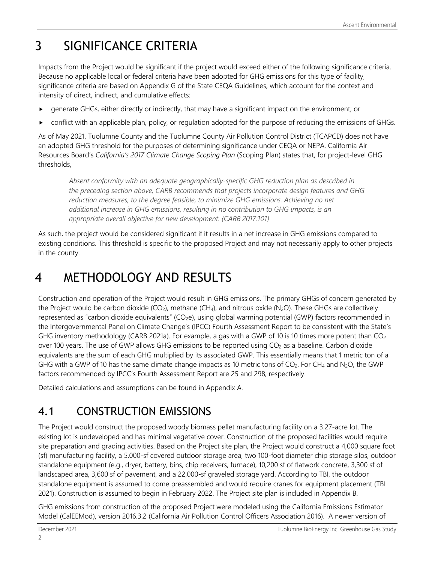# 3 SIGNIFICANCE CRITERIA

Impacts from the Project would be significant if the project would exceed either of the following significance criteria. Because no applicable local or federal criteria have been adopted for GHG emissions for this type of facility, significance criteria are based on Appendix G of the State CEQA Guidelines, which account for the context and intensity of direct, indirect, and cumulative effects:

- generate GHGs, either directly or indirectly, that may have a significant impact on the environment; or
- conflict with an applicable plan, policy, or regulation adopted for the purpose of reducing the emissions of GHGs.

As of May 2021, Tuolumne County and the Tuolumne County Air Pollution Control District (TCAPCD) does not have an adopted GHG threshold for the purposes of determining significance under CEQA or NEPA. California Air Resources Board's *California's 2017 Climate Change Scoping Plan* (Scoping Plan) states that, for project-level GHG thresholds,

*Absent conformity with an adequate geographically-specific GHG reduction plan as described in the preceding section above, CARB recommends that projects incorporate design features and GHG reduction measures, to the degree feasible, to minimize GHG emissions. Achieving no net additional increase in GHG emissions, resulting in no contribution to GHG impacts, is an appropriate overall objective for new development. (CARB 2017:101)*

As such, the project would be considered significant if it results in a net increase in GHG emissions compared to existing conditions. This threshold is specific to the proposed Project and may not necessarily apply to other projects in the county.

# 4 METHODOLOGY AND RESULTS

Construction and operation of the Project would result in GHG emissions. The primary GHGs of concern generated by the Project would be carbon dioxide ( $CO<sub>2</sub>$ ), methane ( $CH<sub>4</sub>$ ), and nitrous oxide ( $N<sub>2</sub>O$ ). These GHGs are collectively represented as "carbon dioxide equivalents" (CO2e), using global warming potential (GWP) factors recommended in the Intergovernmental Panel on Climate Change's (IPCC) Fourth Assessment Report to be consistent with the State's GHG inventory methodology (CARB 2021a). For example, a gas with a GWP of 10 is 10 times more potent than CO<sub>2</sub> over 100 years. The use of GWP allows GHG emissions to be reported using CO<sub>2</sub> as a baseline. Carbon dioxide equivalents are the sum of each GHG multiplied by its associated GWP. This essentially means that 1 metric ton of a GHG with a GWP of 10 has the same climate change impacts as 10 metric tons of  $CO_2$ . For CH<sub>4</sub> and N<sub>2</sub>O, the GWP factors recommended by IPCC's Fourth Assessment Report are 25 and 298, respectively.

Detailed calculations and assumptions can be found in Appendix A.

#### 4.1 CONSTRUCTION EMISSIONS

The Project would construct the proposed woody biomass pellet manufacturing facility on a 3.27-acre lot. The existing lot is undeveloped and has minimal vegetative cover. Construction of the proposed facilities would require site preparation and grading activities. Based on the Project site plan, the Project would construct a 4,000 square foot (sf) manufacturing facility, a 5,000-sf covered outdoor storage area, two 100-foot diameter chip storage silos, outdoor standalone equipment (e.g., dryer, battery, bins, chip receivers, furnace), 10,200 sf of flatwork concrete, 3,300 sf of landscaped area, 3,600 sf of pavement, and a 22,000-sf graveled storage yard. According to TBI, the outdoor standalone equipment is assumed to come preassembled and would require cranes for equipment placement (TBI 2021). Construction is assumed to begin in February 2022. The Project site plan is included in Appendix B.

GHG emissions from construction of the proposed Project were modeled using the California Emissions Estimator Model (CalEEMod), version 2016.3.2 (California Air Pollution Control Officers Association 2016). A newer version of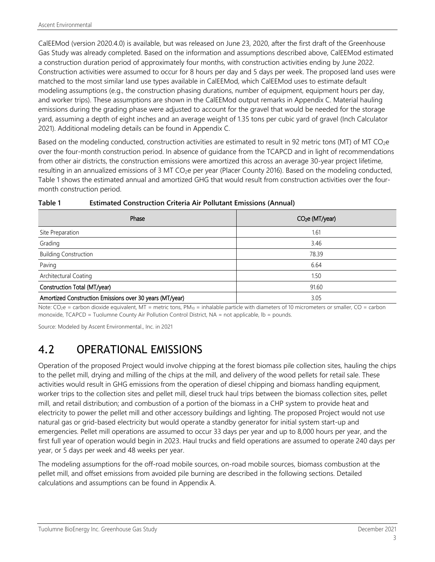CalEEMod (version 2020.4.0) is available, but was released on June 23, 2020, after the first draft of the Greenhouse Gas Study was already completed. Based on the information and assumptions described above, CalEEMod estimated a construction duration period of approximately four months, with construction activities ending by June 2022. Construction activities were assumed to occur for 8 hours per day and 5 days per week. The proposed land uses were matched to the most similar land use types available in CalEEMod, which CalEEMod uses to estimate default modeling assumptions (e.g., the construction phasing durations, number of equipment, equipment hours per day, and worker trips). These assumptions are shown in the CalEEMod output remarks in Appendix C. Material hauling emissions during the grading phase were adjusted to account for the gravel that would be needed for the storage yard, assuming a depth of eight inches and an average weight of 1.35 tons per cubic yard of gravel (Inch Calculator 2021). Additional modeling details can be found in Appendix C.

Based on the modeling conducted, construction activities are estimated to result in 92 metric tons (MT) of MT CO<sub>2</sub>e over the four-month construction period. In absence of guidance from the TCAPCD and in light of recommendations from other air districts, the construction emissions were amortized this across an average 30-year project lifetime, resulting in an annualized emissions of 3 MT CO2e per year (Placer County 2016). Based on the modeling conducted, Table 1 shows the estimated annual and amortized GHG that would result from construction activities over the fourmonth construction period.

| Phase                                                    | CO <sub>2</sub> e (MT/year) |  |  |
|----------------------------------------------------------|-----------------------------|--|--|
| Site Preparation                                         | 1.61                        |  |  |
| Grading                                                  | 3.46                        |  |  |
| <b>Building Construction</b>                             | 78.39                       |  |  |
| Paving                                                   | 6.64                        |  |  |
| Architectural Coating                                    | 1.50                        |  |  |
| Construction Total (MT/year)                             | 91.60                       |  |  |
| Amortized Construction Emissions over 30 years (MT/year) | 3.05                        |  |  |

<span id="page-6-0"></span>

| Table 1 | <b>Estimated Construction Criteria Air Pollutant Emissions (Annual)</b> |  |
|---------|-------------------------------------------------------------------------|--|
|         |                                                                         |  |

Note:  $CO<sub>2</sub>e$  = carbon dioxide equivalent, MT = metric tons, PM<sub>10</sub> = inhalable particle with diameters of 10 micrometers or smaller, CO = carbon monoxide, TCAPCD = Tuolumne County Air Pollution Control District, NA = not applicable, lb = pounds.

Source: Modeled by Ascent Environmental., Inc. in 2021

## 4.2 OPERATIONAL EMISSIONS

Operation of the proposed Project would involve chipping at the forest biomass pile collection sites, hauling the chips to the pellet mill, drying and milling of the chips at the mill, and delivery of the wood pellets for retail sale. These activities would result in GHG emissions from the operation of diesel chipping and biomass handling equipment, worker trips to the collection sites and pellet mill, diesel truck haul trips between the biomass collection sites, pellet mill, and retail distribution; and combustion of a portion of the biomass in a CHP system to provide heat and electricity to power the pellet mill and other accessory buildings and lighting. The proposed Project would not use natural gas or grid-based electricity but would operate a standby generator for initial system start-up and emergencies. Pellet mill operations are assumed to occur 33 days per year and up to 8,000 hours per year, and the first full year of operation would begin in 2023. Haul trucks and field operations are assumed to operate 240 days per year, or 5 days per week and 48 weeks per year.

The modeling assumptions for the off-road mobile sources, on-road mobile sources, biomass combustion at the pellet mill, and offset emissions from avoided pile burning are described in the following sections. Detailed calculations and assumptions can be found in Appendix A.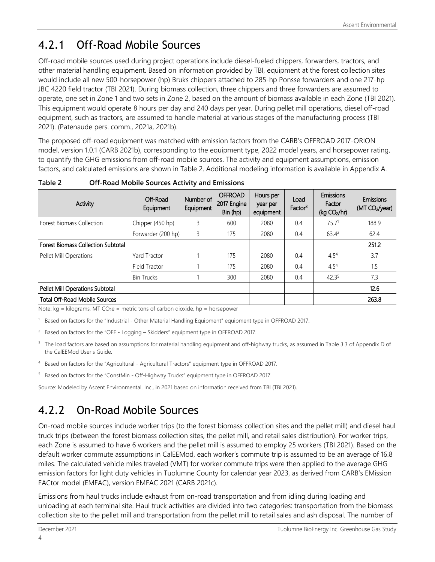## 4.2.1 Off-Road Mobile Sources

Off-road mobile sources used during project operations include diesel-fueled chippers, forwarders, tractors, and other material handling equipment. Based on information provided by TBI, equipment at the forest collection sites would include all new 500-horsepower (hp) Bruks chippers attached to 285-hp Ponsse forwarders and one 217-hp JBC 4220 field tractor (TBI 2021). During biomass collection, three chippers and three forwarders are assumed to operate, one set in Zone 1 and two sets in Zone 2, based on the amount of biomass available in each Zone (TBI 2021). This equipment would operate 8 hours per day and 240 days per year. During pellet mill operations, diesel off-road equipment, such as tractors, are assumed to handle material at various stages of the manufacturing process (TBI 2021). (Patenaude pers. comm., 2021a, 2021b).

The proposed off-road equipment was matched with emission factors from the CARB's OFFROAD 2017-ORION model, version 1.0.1 (CARB 2021b), corresponding to the equipment type, 2022 model years, and horsepower rating, to quantify the GHG emissions from off-road mobile sources. The activity and equipment assumptions, emission factors, and calculated emissions are shown in Table 2. Additional modeling information is available in Appendix A.

| Activity                                  | Off-Road<br>Equipment | Number of<br>Equipment | <b>OFFROAD</b><br>2017 Engine<br>Bin (hp) | Hours per<br>year per<br>equipment | Load<br>Factor <sup>3</sup> | Emissions<br>Factor<br>(kg CO <sub>2</sub> /hr) | <b>Emissions</b><br>(MT CO <sub>2</sub> /year) |
|-------------------------------------------|-----------------------|------------------------|-------------------------------------------|------------------------------------|-----------------------------|-------------------------------------------------|------------------------------------------------|
| <b>Forest Biomass Collection</b>          | Chipper (450 hp)      | 3                      | 600                                       | 2080                               | 0.4                         | 75.7 <sup>1</sup>                               | 188.9                                          |
|                                           | Forwarder (200 hp)    | 3                      | 175                                       | 2080                               | 0.4                         | $63.4^2$                                        | 62.4                                           |
| <b>Forest Biomass Collection Subtotal</b> |                       |                        |                                           |                                    |                             |                                                 | 251.2                                          |
| Pellet Mill Operations                    | <b>Yard Tractor</b>   |                        | 175                                       | 2080                               | 0.4                         | 4.5 <sup>4</sup>                                | 3.7                                            |
|                                           | Field Tractor         |                        | 175                                       | 2080                               | 0.4                         | $4.5^{4}$                                       | 1.5                                            |
|                                           | <b>Bin Trucks</b>     |                        | 300                                       | 2080                               | 0.4                         | 42.3 <sup>5</sup>                               | 7.3                                            |
| Pellet Mill Operations Subtotal           |                       |                        |                                           |                                    |                             |                                                 | 12.6                                           |
| <b>Total Off-Road Mobile Sources</b>      |                       |                        |                                           |                                    |                             |                                                 | 263.8                                          |

<span id="page-7-0"></span>**Table 2 Off-Road Mobile Sources Activity and Emissions**

Note:  $kg$  = kilograms, MT CO<sub>2</sub>e = metric tons of carbon dioxide, hp = horsepower

<sup>1</sup> Based on factors for the "Industrial - Other Material Handling Equipment" equipment type in OFFROAD 2017.

<sup>2</sup> Based on factors for the "OFF - Logging – Skidders" equipment type in OFFROAD 2017.

- <sup>3</sup> The load factors are based on assumptions for material handling equipment and off-highway trucks, as assumed in Table 3.3 of Appendix D of the CalEEMod User's Guide.
- <sup>4</sup> Based on factors for the "Agricultural Agricultural Tractors" equipment type in OFFROAD 2017.
- <sup>5</sup> Based on factors for the "ConstMin Off-Highway Trucks" equipment type in OFFROAD 2017.

Source: Modeled by Ascent Environmental. Inc., in 2021 based on information received from TBI (TBI 2021).

## 4.2.2 On-Road Mobile Sources

On-road mobile sources include worker trips (to the forest biomass collection sites and the pellet mill) and diesel haul truck trips (between the forest biomass collection sites, the pellet mill, and retail sales distribution). For worker trips, each Zone is assumed to have 6 workers and the pellet mill is assumed to employ 25 workers (TBI 2021). Based on the default worker commute assumptions in CalEEMod, each worker's commute trip is assumed to be an average of 16.8 miles. The calculated vehicle miles traveled (VMT) for worker commute trips were then applied to the average GHG emission factors for light duty vehicles in Tuolumne County for calendar year 2023, as derived from CARB's EMission FACtor model (EMFAC), version EMFAC 2021 (CARB 2021c).

Emissions from haul trucks include exhaust from on-road transportation and from idling during loading and unloading at each terminal site. Haul truck activities are divided into two categories: transportation from the biomass collection site to the pellet mill and transportation from the pellet mill to retail sales and ash disposal. The number of

4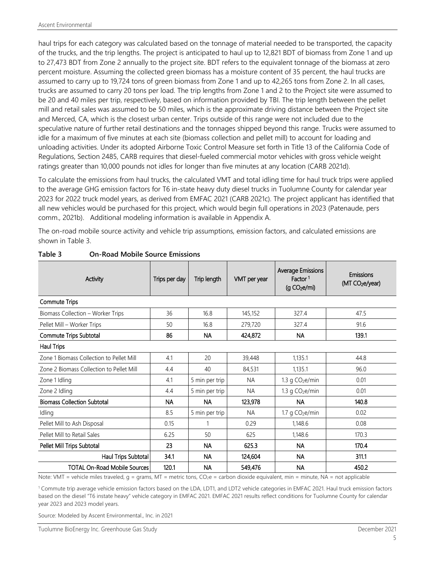haul trips for each category was calculated based on the tonnage of material needed to be transported, the capacity of the trucks, and the trip lengths. The project is anticipated to haul up to 12,821 BDT of biomass from Zone 1 and up to 27,473 BDT from Zone 2 annually to the project site. BDT refers to the equivalent tonnage of the biomass at zero percent moisture. Assuming the collected green biomass has a moisture content of 35 percent, the haul trucks are assumed to carry up to 19,724 tons of green biomass from Zone 1 and up to 42,265 tons from Zone 2. In all cases, trucks are assumed to carry 20 tons per load. The trip lengths from Zone 1 and 2 to the Project site were assumed to be 20 and 40 miles per trip, respectively, based on information provided by TBI. The trip length between the pellet mill and retail sales was assumed to be 50 miles, which is the approximate driving distance between the Project site and Merced, CA, which is the closest urban center. Trips outside of this range were not included due to the speculative nature of further retail destinations and the tonnages shipped beyond this range. Trucks were assumed to idle for a maximum of five minutes at each site (biomass collection and pellet mill) to account for loading and unloading activities. Under its adopted Airborne Toxic Control Measure set forth in Title 13 of the California Code of Regulations, Section 2485, CARB requires that diesel-fueled commercial motor vehicles with gross vehicle weight ratings greater than 10,000 pounds not idles for longer than five minutes at any location (CARB 2021d).

To calculate the emissions from haul trucks, the calculated VMT and total idling time for haul truck trips were applied to the average GHG emission factors for T6 in-state heavy duty diesel trucks in Tuolumne County for calendar year 2023 for 2022 truck model years, as derived from EMFAC 2021 (CARB 2021c). The project applicant has identified that all new vehicles would be purchased for this project, which would begin full operations in 2023 (Patenaude, pers comm., 2021b). Additional modeling information is available in Appendix A.

The on-road mobile source activity and vehicle trip assumptions, emission factors, and calculated emissions are shown in Table 3.

| Activity                                 | Trips per day | Trip length    | VMT per year | <b>Average Emissions</b><br>Factor <sup>1</sup><br>(g CO <sub>2</sub> e/mi) | Emissions<br>(MT CO <sub>2</sub> e/year) |
|------------------------------------------|---------------|----------------|--------------|-----------------------------------------------------------------------------|------------------------------------------|
| <b>Commute Trips</b>                     |               |                |              |                                                                             |                                          |
| Biomass Collection - Worker Trips        | 36            | 16.8           | 145,152      | 327.4                                                                       | 47.5                                     |
| Pellet Mill - Worker Trips               | 50            | 16.8           | 279,720      | 327.4                                                                       | 91.6                                     |
| Commute Trips Subtotal                   | 86            | <b>NA</b>      | 424,872      | NA.                                                                         | 139.1                                    |
| <b>Haul Trips</b>                        |               |                |              |                                                                             |                                          |
| Zone 1 Biomass Collection to Pellet Mill | 4.1           | 20             | 39,448       | 1,135.1                                                                     | 44.8                                     |
| Zone 2 Biomass Collection to Pellet Mill | 4.4           | 40             | 84,531       | 1,135.1                                                                     | 96.0                                     |
| Zone 1 Idling                            | 4.1           | 5 min per trip | <b>NA</b>    | 1.3 g CO <sub>2</sub> e/min                                                 | 0.01                                     |
| Zone 2 Idling                            | 4.4           | 5 min per trip | <b>NA</b>    | 1.3 g CO <sub>2</sub> e/min                                                 | 0.01                                     |
| <b>Biomass Collection Subtotal</b>       | <b>NA</b>     | <b>NA</b>      | 123,978      | <b>NA</b>                                                                   | 140.8                                    |
| Idling                                   | 8.5           | 5 min per trip | <b>NA</b>    | 1.7 g CO <sub>2</sub> e/min                                                 | 0.02                                     |
| Pellet Mill to Ash Disposal              | 0.15          |                | 0.29         | 1,148.6                                                                     | 0.08                                     |
| Pellet Mill to Retail Sales              | 6.25          | 50             | 625          | 1,148.6                                                                     | 170.3                                    |
| Pellet Mill Trips Subtotal               | 23            | <b>NA</b>      | 625.3        | <b>NA</b>                                                                   | 170.4                                    |
| Haul Trips Subtotal                      | 34.1          | <b>NA</b>      | 124,604      | <b>NA</b>                                                                   | 311.1                                    |
| <b>TOTAL On-Road Mobile Sources</b>      | 120.1         | <b>NA</b>      | 549,476      | <b>NA</b>                                                                   | 450.2                                    |

#### <span id="page-8-0"></span>**Table 3 On-Road Mobile Source Emissions**

Note: VMT = vehicle miles traveled,  $g =$  grams, MT = metric tons, CO<sub>2</sub>e = carbon dioxide equivalent, min = minute, NA = not applicable

<sup>1</sup> Commute trip average vehicle emission factors based on the LDA, LDT1, and LDT2 vehicle categories in EMFAC 2021. Haul truck emission factors based on the diesel "T6 instate heavy" vehicle category in EMFAC 2021. EMFAC 2021 results reflect conditions for Tuolumne County for calendar year 2023 and 2023 model years.

Source: Modeled by Ascent Environmental., Inc. in 2021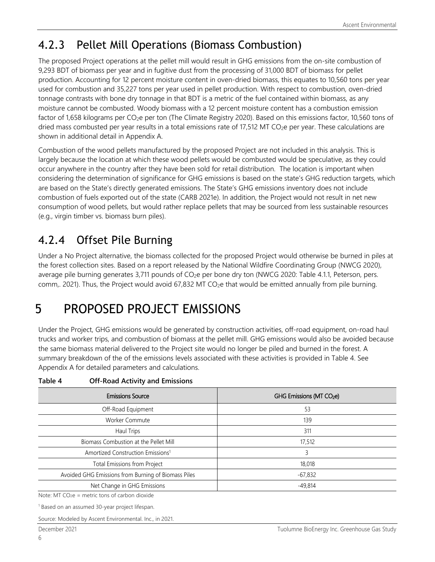#### 4.2.3 Pellet Mill Operations (Biomass Combustion)

The proposed Project operations at the pellet mill would result in GHG emissions from the on-site combustion of 9,293 BDT of biomass per year and in fugitive dust from the processing of 31,000 BDT of biomass for pellet production. Accounting for 12 percent moisture content in oven-dried biomass, this equates to 10,560 tons per year used for combustion and 35,227 tons per year used in pellet production. With respect to combustion, oven-dried tonnage contrasts with bone dry tonnage in that BDT is a metric of the fuel contained within biomass, as any moisture cannot be combusted. Woody biomass with a 12 percent moisture content has a combustion emission factor of 1,658 kilograms per  $CO<sub>2</sub>e$  per ton (The Climate Registry 2020). Based on this emissions factor, 10,560 tons of dried mass combusted per year results in a total emissions rate of 17,512 MT CO2e per year. These calculations are shown in additional detail in Appendix A.

Combustion of the wood pellets manufactured by the proposed Project are not included in this analysis. This is largely because the location at which these wood pellets would be combusted would be speculative, as they could occur anywhere in the country after they have been sold for retail distribution. The location is important when considering the determination of significance for GHG emissions is based on the state's GHG reduction targets, which are based on the State's directly generated emissions. The State's GHG emissions inventory does not include combustion of fuels exported out of the state (CARB 2021e). In addition, the Project would not result in net new consumption of wood pellets, but would rather replace pellets that may be sourced from less sustainable resources (e.g., virgin timber vs. biomass burn piles).

#### 4.2.4 Offset Pile Burning

Under a No Project alternative, the biomass collected for the proposed Project would otherwise be burned in piles at the forest collection sites. Based on a report released by the National Wildfire Coordinating Group (NWCG 2020), average pile burning generates 3,711 pounds of CO<sub>2</sub>e per bone dry ton (NWCG 2020: Table 4.1.1, Peterson, pers. comm,. 2021). Thus, the Project would avoid 67,832 MT  $CO<sub>2</sub>e$  that would be emitted annually from pile burning.

# 5 PROPOSED PROJECT EMISSIONS

Under the Project, GHG emissions would be generated by construction activities, off-road equipment, on-road haul trucks and worker trips, and combustion of biomass at the pellet mill. GHG emissions would also be avoided because the same biomass material delivered to the Project site would no longer be piled and burned in the forest. A summary breakdown of the of the emissions levels associated with these activities is provided in Table 4. See Appendix A for detailed parameters and calculations.

| <b>Emissions Source</b>                             | GHG Emissions (MT CO <sub>2</sub> e) |
|-----------------------------------------------------|--------------------------------------|
| Off-Road Equipment                                  | 53                                   |
| Worker Commute                                      | 139                                  |
| Haul Trips                                          | 311                                  |
| Biomass Combustion at the Pellet Mill               | 17,512                               |
| Amortized Construction Emissions <sup>1</sup>       |                                      |
| Total Emissions from Project                        | 18,018                               |
| Avoided GHG Emissions from Burning of Biomass Piles | $-67,832$                            |
| Net Change in GHG Emissions                         | $-49,814$                            |

#### <span id="page-9-0"></span>**Table 4 Off-Road Activity and Emissions**

Note: MT  $CO<sub>2</sub>e$  = metric tons of carbon dioxide

<sup>1</sup> Based on an assumed 30-year project lifespan.

Source: Modeled by Ascent Environmental. Inc., in 2021.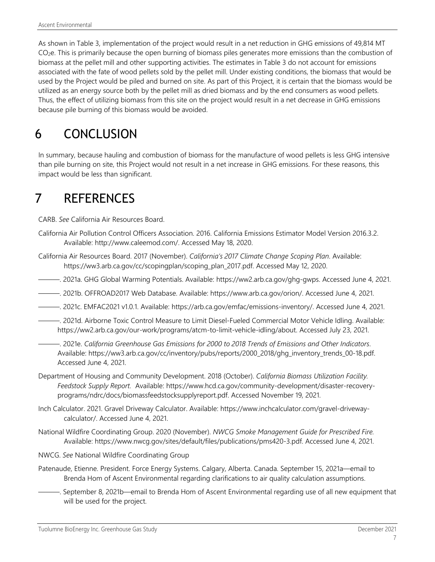As shown in Table 3, implementation of the project would result in a net reduction in GHG emissions of 49,814 MT CO<sub>2</sub>e. This is primarily because the open burning of biomass piles generates more emissions than the combustion of biomass at the pellet mill and other supporting activities. The estimates in Table 3 do not account for emissions associated with the fate of wood pellets sold by the pellet mill. Under existing conditions, the biomass that would be used by the Project would be piled and burned on site. As part of this Project, it is certain that the biomass would be utilized as an energy source both by the pellet mill as dried biomass and by the end consumers as wood pellets. Thus, the effect of utilizing biomass from this site on the project would result in a net decrease in GHG emissions because pile burning of this biomass would be avoided.

# 6 CONCLUSION

In summary, because hauling and combustion of biomass for the manufacture of wood pellets is less GHG intensive than pile burning on site, this Project would not result in a net increase in GHG emissions. For these reasons, this impact would be less than significant.

# 7 REFERENCES

CARB. *See* California Air Resources Board.

- California Air Pollution Control Officers Association. 2016. California Emissions Estimator Model Version 2016.3.2. Available: [http://www.caleemod.com/.](http://www.caleemod.com/) Accessed May 18, 2020.
- California Air Resources Board. 2017 (November). *California's 2017 Climate Change Scoping Plan*. Available: [https://ww3.arb.ca.gov/cc/scopingplan/scoping\\_plan\\_2017.pdf.](https://ww3.arb.ca.gov/cc/scopingplan/scoping_plan_2017.pdf) Accessed May 12, 2020.
- ———. 2021a. GHG Global Warming Potentials. Available: [https://ww2.arb.ca.gov/ghg-gwps.](https://ww2.arb.ca.gov/ghg-gwps) Accessed June 4, 2021.
- ———. 2021b. OFFROAD2017 Web Database. Available: [https://www.arb.ca.gov/orion/.](https://www.arb.ca.gov/orion/) Accessed June 4, 2021.
- ———. 2021c. EMFAC2021 v1.0.1. Available: [https://arb.ca.gov/emfac/emissions-inventory/.](https://arb.ca.gov/emfac/emissions-inventory/) Accessed June 4, 2021.
- ———. 2021d. Airborne Toxic Control Measure to Limit Diesel-Fueled Commercial Motor Vehicle Idling. Available: [https://ww2.arb.ca.gov/our-work/programs/atcm-to-limit-vehicle-idling/about.](https://ww2.arb.ca.gov/our-work/programs/atcm-to-limit-vehicle-idling/about) Accessed July 23, 2021.
- ———. 2021e. *California Greenhouse Gas Emissions for 2000 to 2018 Trends of Emissions and Other Indicators*. Available: [https://ww3.arb.ca.gov/cc/inventory/pubs/reports/2000\\_2018/ghg\\_inventory\\_trends\\_00-18.pdf.](https://ww3.arb.ca.gov/cc/inventory/pubs/reports/2000_2018/ghg_inventory_trends_00-18.pdf)  Accessed June 4, 2021.
- Department of Housing and Community Development. 2018 (October). *California Biomass Utilization Facility. Feedstock Supply Report.* Available: [https://www.hcd.ca.gov/community-development/disaster-recovery](https://www.hcd.ca.gov/community-development/disaster-recovery-programs/ndrc/docs/biomassfeedstocksupplyreport.pdf)[programs/ndrc/docs/biomassfeedstocksupplyreport.pdf.](https://www.hcd.ca.gov/community-development/disaster-recovery-programs/ndrc/docs/biomassfeedstocksupplyreport.pdf) Accessed November 19, 2021.
- Inch Calculator. 2021. Gravel Driveway Calculator. Available: [https://www.inchcalculator.com/gravel-driveway](https://www.inchcalculator.com/gravel-driveway-calculator/)[calculator/.](https://www.inchcalculator.com/gravel-driveway-calculator/) Accessed June 4, 2021.
- National Wildfire Coordinating Group. 2020 (November). *NWCG Smoke Management Guide for Prescribed Fire.* Available: [https://www.nwcg.gov/sites/default/files/publications/pms420-3.pdf.](https://www.nwcg.gov/sites/default/files/publications/pms420-3.pdf) Accessed June 4, 2021.
- NWCG. *See* National Wildfire Coordinating Group
- Patenaude, Etienne. President. Force Energy Systems. Calgary, Alberta. Canada. September 15, 2021a—email to Brenda Hom of Ascent Environmental regarding clarifications to air quality calculation assumptions.
	- ———. September 8, 2021b—email to Brenda Hom of Ascent Environmental regarding use of all new equipment that will be used for the project.